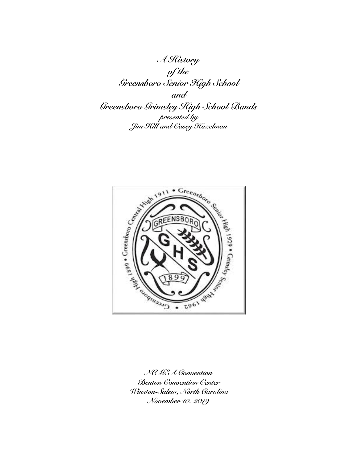*A History of the Greensboro Senior High School and Greensboro Grimsley High School Bands presented by Jim Hill and Casey Hazelman* 



*NCMEA Convention Benton Convention Center Winston-Salem, North Carolina November 10. 2019*